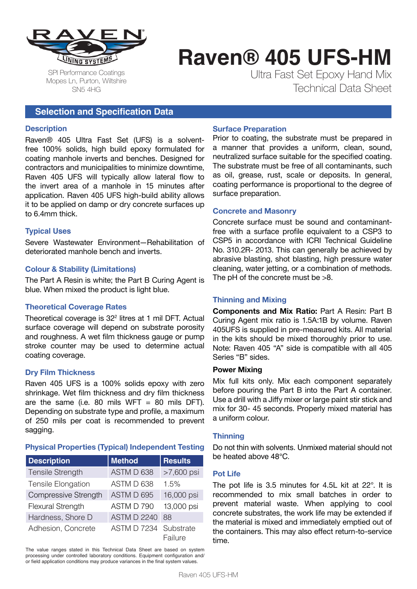

SPI Performance Coatings Mopes Ln, Purton, Wiltshire SN5 4HG

# **Raven® 405 UFS-HM**

Ultra Fast Set Epoxy Hand Mix Technical Data Sheet

## **Selection and Specification Data**

### **Description**

Raven® 405 Ultra Fast Set (UFS) is a solventfree 100% solids, high build epoxy formulated for coating manhole inverts and benches. Designed for contractors and municipalities to minimize downtime, Raven 405 UFS will typically allow lateral flow to the invert area of a manhole in 15 minutes after application. Raven 405 UFS high-build ability allows it to be applied on damp or dry concrete surfaces up to 6.4mm thick.

### **Typical Uses**

Severe Wastewater Environment—Rehabilitation of deteriorated manhole bench and inverts.

### **Colour & Stability (Limitations)**

The Part A Resin is white; the Part B Curing Agent is blue. When mixed the product is light blue.

### **Theoretical Coverage Rates**

Theoretical coverage is 322 litres at 1 mil DFT. Actual surface coverage will depend on substrate porosity and roughness. A wet film thickness gauge or pump stroke counter may be used to determine actual coating coverage.

### **Dry Film Thickness**

Raven 405 UFS is a 100% solids epoxy with zero shrinkage. Wet film thickness and dry film thickness are the same (i.e. 80 mils WFT = 80 mils DFT). Depending on substrate type and profile, a maximum of 250 mils per coat is recommended to prevent sagging.

## **Physical Properties (Typical) Independent Testing**

| <b>Description</b>   | <b>Method</b>      | <b>Results</b>       |
|----------------------|--------------------|----------------------|
| Tensile Strength     | ASTM D 638         | >7,600 psi           |
| Tensile Elongation   | ASTM D 638         | 1.5%                 |
| Compressive Strength | ASTM D 695         | 16,000 psi           |
| Flexural Strength    | ASTM D 790         | 13,000 psi           |
| Hardness, Shore D    | <b>ASTM D 2240</b> | 88                   |
| Adhesion, Concrete   | <b>ASTM D 7234</b> | Substrate<br>Failure |

The value ranges stated in this Technical Data Sheet are based on system processing under controlled laboratory conditions. Equipment configuration and/ or field application conditions may produce variances in the final system values.

## **Surface Preparation**

Prior to coating, the substrate must be prepared in a manner that provides a uniform, clean, sound, neutralized surface suitable for the specified coating. The substrate must be free of all contaminants, such as oil, grease, rust, scale or deposits. In general, coating performance is proportional to the degree of surface preparation.

## **Concrete and Masonry**

Concrete surface must be sound and contaminantfree with a surface profile equivalent to a CSP3 to CSP5 in accordance with ICRI Technical Guideline No. 310.2R- 2013. This can generally be achieved by abrasive blasting, shot blasting, high pressure water cleaning, water jetting, or a combination of methods. The pH of the concrete must be >8.

## **Thinning and Mixing**

**Components and Mix Ratio:** Part A Resin: Part B Curing Agent mix ratio is 1.5A:1B by volume. Raven 405UFS is supplied in pre-measured kits. All material in the kits should be mixed thoroughly prior to use. Note: Raven 405 "A" side is compatible with all 405 Series "B" sides.

## **Power Mixing**

Mix full kits only. Mix each component separately before pouring the Part B into the Part A container. Use a drill with a Jiffy mixer or large paint stir stick and mix for 30- 45 seconds. Properly mixed material has a uniform colour.

## **Thinning**

Do not thin with solvents. Unmixed material should not be heated above 48°C.

### **Pot Life**

The pot life is 3.5 minutes for 4.5L kit at 22°. It is recommended to mix small batches in order to prevent material waste. When applying to cool concrete substrates, the work life may be extended if the material is mixed and immediately emptied out of the containers. This may also effect return-to-service time.